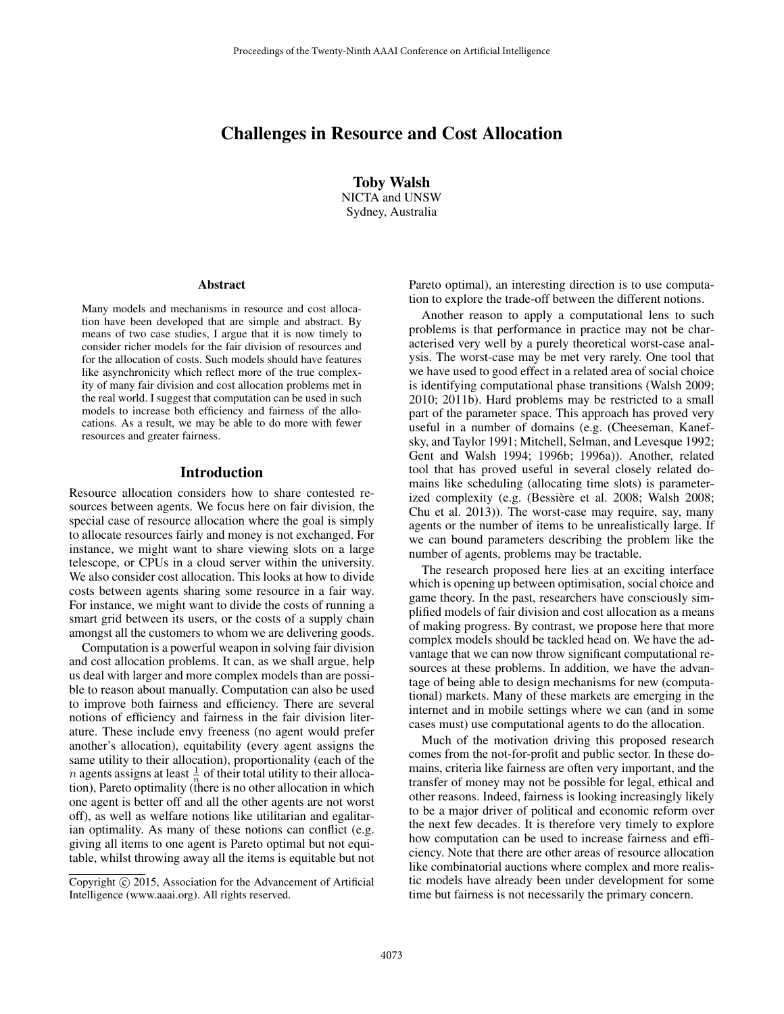# Challenges in Resource and Cost Allocation

Toby Walsh NICTA and UNSW Sydney, Australia

#### Abstract

Many models and mechanisms in resource and cost allocation have been developed that are simple and abstract. By means of two case studies, I argue that it is now timely to consider richer models for the fair division of resources and for the allocation of costs. Such models should have features like asynchronicity which reflect more of the true complexity of many fair division and cost allocation problems met in the real world. I suggest that computation can be used in such models to increase both efficiency and fairness of the allocations. As a result, we may be able to do more with fewer resources and greater fairness.

#### Introduction

Resource allocation considers how to share contested resources between agents. We focus here on fair division, the special case of resource allocation where the goal is simply to allocate resources fairly and money is not exchanged. For instance, we might want to share viewing slots on a large telescope, or CPUs in a cloud server within the university. We also consider cost allocation. This looks at how to divide costs between agents sharing some resource in a fair way. For instance, we might want to divide the costs of running a smart grid between its users, or the costs of a supply chain amongst all the customers to whom we are delivering goods.

Computation is a powerful weapon in solving fair division and cost allocation problems. It can, as we shall argue, help us deal with larger and more complex models than are possible to reason about manually. Computation can also be used to improve both fairness and efficiency. There are several notions of efficiency and fairness in the fair division literature. These include envy freeness (no agent would prefer another's allocation), equitability (every agent assigns the same utility to their allocation), proportionality (each of the *n* agents assigns at least  $\frac{1}{n}$  of their total utility to their allocation), Pareto optimality (there is no other allocation in which one agent is better off and all the other agents are not worst off), as well as welfare notions like utilitarian and egalitarian optimality. As many of these notions can conflict (e.g. giving all items to one agent is Pareto optimal but not equitable, whilst throwing away all the items is equitable but not

Pareto optimal), an interesting direction is to use computation to explore the trade-off between the different notions.

Another reason to apply a computational lens to such problems is that performance in practice may not be characterised very well by a purely theoretical worst-case analysis. The worst-case may be met very rarely. One tool that we have used to good effect in a related area of social choice is identifying computational phase transitions (Walsh 2009; 2010; 2011b). Hard problems may be restricted to a small part of the parameter space. This approach has proved very useful in a number of domains (e.g. (Cheeseman, Kanefsky, and Taylor 1991; Mitchell, Selman, and Levesque 1992; Gent and Walsh 1994; 1996b; 1996a)). Another, related tool that has proved useful in several closely related domains like scheduling (allocating time slots) is parameterized complexity (e.g. (Bessière et al. 2008; Walsh 2008; Chu et al. 2013)). The worst-case may require, say, many agents or the number of items to be unrealistically large. If we can bound parameters describing the problem like the number of agents, problems may be tractable.

The research proposed here lies at an exciting interface which is opening up between optimisation, social choice and game theory. In the past, researchers have consciously simplified models of fair division and cost allocation as a means of making progress. By contrast, we propose here that more complex models should be tackled head on. We have the advantage that we can now throw significant computational resources at these problems. In addition, we have the advantage of being able to design mechanisms for new (computational) markets. Many of these markets are emerging in the internet and in mobile settings where we can (and in some cases must) use computational agents to do the allocation.

Much of the motivation driving this proposed research comes from the not-for-profit and public sector. In these domains, criteria like fairness are often very important, and the transfer of money may not be possible for legal, ethical and other reasons. Indeed, fairness is looking increasingly likely to be a major driver of political and economic reform over the next few decades. It is therefore very timely to explore how computation can be used to increase fairness and efficiency. Note that there are other areas of resource allocation like combinatorial auctions where complex and more realistic models have already been under development for some time but fairness is not necessarily the primary concern.

Copyright (c) 2015, Association for the Advancement of Artificial Intelligence (www.aaai.org). All rights reserved.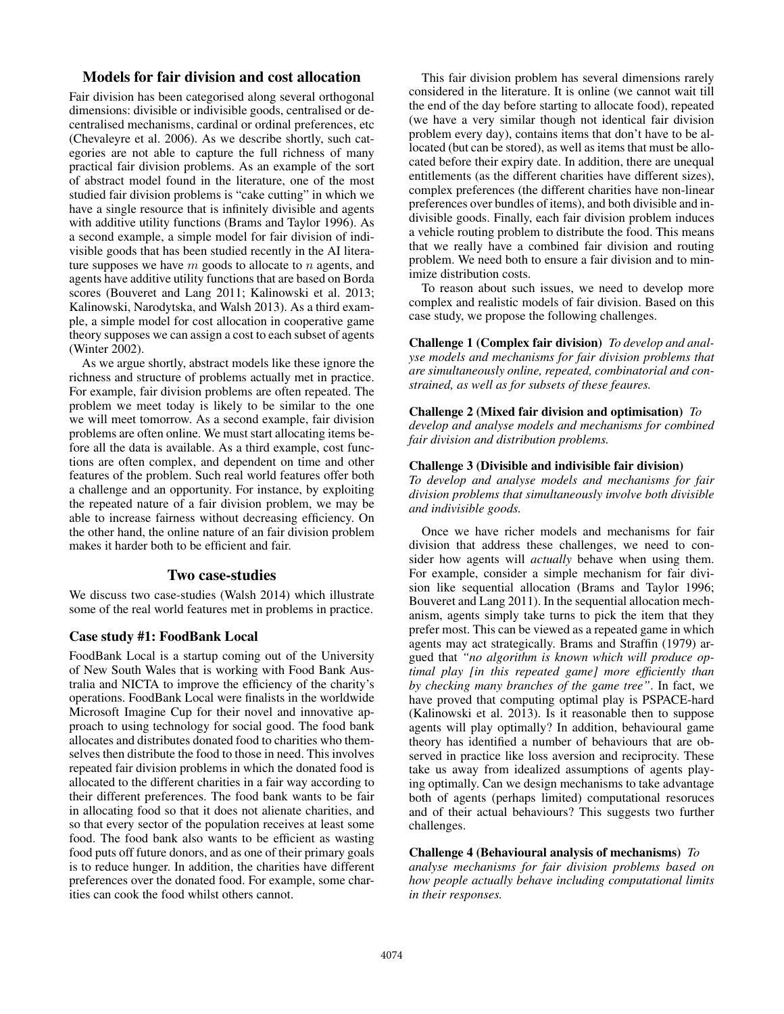## Models for fair division and cost allocation

Fair division has been categorised along several orthogonal dimensions: divisible or indivisible goods, centralised or decentralised mechanisms, cardinal or ordinal preferences, etc (Chevaleyre et al. 2006). As we describe shortly, such categories are not able to capture the full richness of many practical fair division problems. As an example of the sort of abstract model found in the literature, one of the most studied fair division problems is "cake cutting" in which we have a single resource that is infinitely divisible and agents with additive utility functions (Brams and Taylor 1996). As a second example, a simple model for fair division of indivisible goods that has been studied recently in the AI literature supposes we have  $m$  goods to allocate to  $n$  agents, and agents have additive utility functions that are based on Borda scores (Bouveret and Lang 2011; Kalinowski et al. 2013; Kalinowski, Narodytska, and Walsh 2013). As a third example, a simple model for cost allocation in cooperative game theory supposes we can assign a cost to each subset of agents (Winter 2002).

As we argue shortly, abstract models like these ignore the richness and structure of problems actually met in practice. For example, fair division problems are often repeated. The problem we meet today is likely to be similar to the one we will meet tomorrow. As a second example, fair division problems are often online. We must start allocating items before all the data is available. As a third example, cost functions are often complex, and dependent on time and other features of the problem. Such real world features offer both a challenge and an opportunity. For instance, by exploiting the repeated nature of a fair division problem, we may be able to increase fairness without decreasing efficiency. On the other hand, the online nature of an fair division problem makes it harder both to be efficient and fair.

### Two case-studies

We discuss two case-studies (Walsh 2014) which illustrate some of the real world features met in problems in practice.

#### Case study #1: FoodBank Local

FoodBank Local is a startup coming out of the University of New South Wales that is working with Food Bank Australia and NICTA to improve the efficiency of the charity's operations. FoodBank Local were finalists in the worldwide Microsoft Imagine Cup for their novel and innovative approach to using technology for social good. The food bank allocates and distributes donated food to charities who themselves then distribute the food to those in need. This involves repeated fair division problems in which the donated food is allocated to the different charities in a fair way according to their different preferences. The food bank wants to be fair in allocating food so that it does not alienate charities, and so that every sector of the population receives at least some food. The food bank also wants to be efficient as wasting food puts off future donors, and as one of their primary goals is to reduce hunger. In addition, the charities have different preferences over the donated food. For example, some charities can cook the food whilst others cannot.

This fair division problem has several dimensions rarely considered in the literature. It is online (we cannot wait till the end of the day before starting to allocate food), repeated (we have a very similar though not identical fair division problem every day), contains items that don't have to be allocated (but can be stored), as well as items that must be allocated before their expiry date. In addition, there are unequal entitlements (as the different charities have different sizes), complex preferences (the different charities have non-linear preferences over bundles of items), and both divisible and indivisible goods. Finally, each fair division problem induces a vehicle routing problem to distribute the food. This means that we really have a combined fair division and routing problem. We need both to ensure a fair division and to minimize distribution costs.

To reason about such issues, we need to develop more complex and realistic models of fair division. Based on this case study, we propose the following challenges.

Challenge 1 (Complex fair division) *To develop and analyse models and mechanisms for fair division problems that are simultaneously online, repeated, combinatorial and constrained, as well as for subsets of these feaures.*

#### Challenge 2 (Mixed fair division and optimisation) *To develop and analyse models and mechanisms for combined fair division and distribution problems.*

#### Challenge 3 (Divisible and indivisible fair division)

*To develop and analyse models and mechanisms for fair division problems that simultaneously involve both divisible and indivisible goods.*

Once we have richer models and mechanisms for fair division that address these challenges, we need to consider how agents will *actually* behave when using them. For example, consider a simple mechanism for fair division like sequential allocation (Brams and Taylor 1996; Bouveret and Lang 2011). In the sequential allocation mechanism, agents simply take turns to pick the item that they prefer most. This can be viewed as a repeated game in which agents may act strategically. Brams and Straffin (1979) argued that *"no algorithm is known which will produce optimal play [in this repeated game] more efficiently than by checking many branches of the game tree"*. In fact, we have proved that computing optimal play is PSPACE-hard (Kalinowski et al. 2013). Is it reasonable then to suppose agents will play optimally? In addition, behavioural game theory has identified a number of behaviours that are observed in practice like loss aversion and reciprocity. These take us away from idealized assumptions of agents playing optimally. Can we design mechanisms to take advantage both of agents (perhaps limited) computational resoruces and of their actual behaviours? This suggests two further challenges.

### Challenge 4 (Behavioural analysis of mechanisms) *To*

*analyse mechanisms for fair division problems based on how people actually behave including computational limits in their responses.*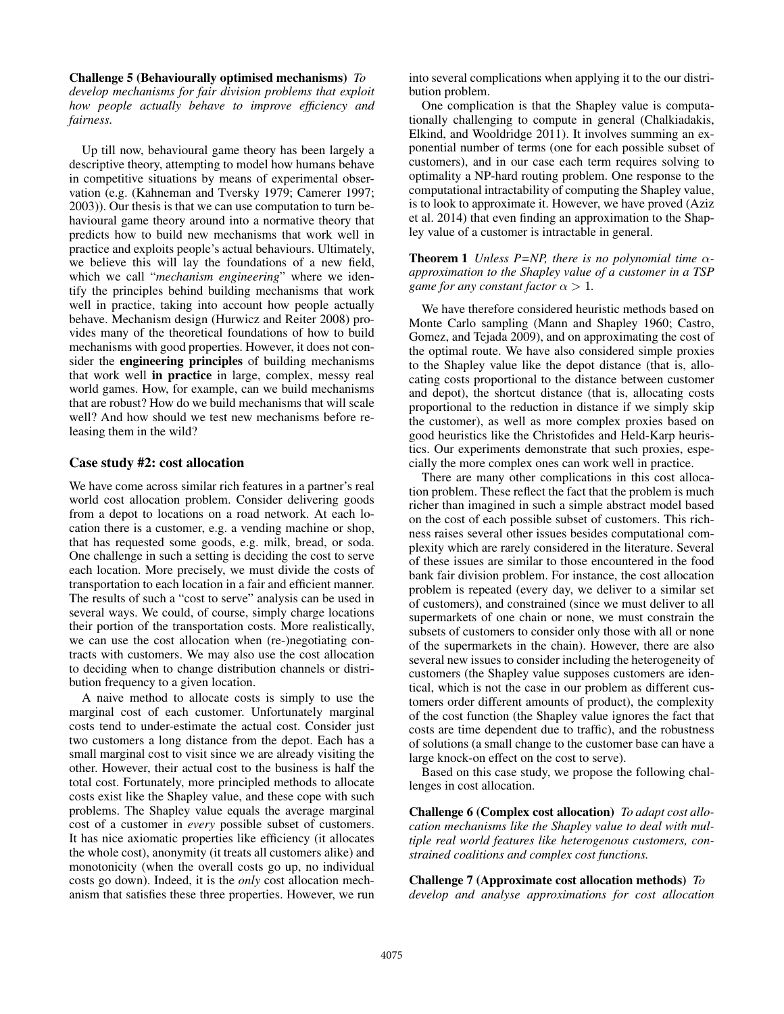Challenge 5 (Behaviourally optimised mechanisms) *To develop mechanisms for fair division problems that exploit how people actually behave to improve efficiency and fairness.*

Up till now, behavioural game theory has been largely a descriptive theory, attempting to model how humans behave in competitive situations by means of experimental observation (e.g. (Kahneman and Tversky 1979; Camerer 1997; 2003)). Our thesis is that we can use computation to turn behavioural game theory around into a normative theory that predicts how to build new mechanisms that work well in practice and exploits people's actual behaviours. Ultimately, we believe this will lay the foundations of a new field, which we call "*mechanism engineering*" where we identify the principles behind building mechanisms that work well in practice, taking into account how people actually behave. Mechanism design (Hurwicz and Reiter 2008) provides many of the theoretical foundations of how to build mechanisms with good properties. However, it does not consider the engineering principles of building mechanisms that work well in practice in large, complex, messy real world games. How, for example, can we build mechanisms that are robust? How do we build mechanisms that will scale well? And how should we test new mechanisms before releasing them in the wild?

### Case study #2: cost allocation

We have come across similar rich features in a partner's real world cost allocation problem. Consider delivering goods from a depot to locations on a road network. At each location there is a customer, e.g. a vending machine or shop, that has requested some goods, e.g. milk, bread, or soda. One challenge in such a setting is deciding the cost to serve each location. More precisely, we must divide the costs of transportation to each location in a fair and efficient manner. The results of such a "cost to serve" analysis can be used in several ways. We could, of course, simply charge locations their portion of the transportation costs. More realistically, we can use the cost allocation when (re-)negotiating contracts with customers. We may also use the cost allocation to deciding when to change distribution channels or distribution frequency to a given location.

A naive method to allocate costs is simply to use the marginal cost of each customer. Unfortunately marginal costs tend to under-estimate the actual cost. Consider just two customers a long distance from the depot. Each has a small marginal cost to visit since we are already visiting the other. However, their actual cost to the business is half the total cost. Fortunately, more principled methods to allocate costs exist like the Shapley value, and these cope with such problems. The Shapley value equals the average marginal cost of a customer in *every* possible subset of customers. It has nice axiomatic properties like efficiency (it allocates the whole cost), anonymity (it treats all customers alike) and monotonicity (when the overall costs go up, no individual costs go down). Indeed, it is the *only* cost allocation mechanism that satisfies these three properties. However, we run into several complications when applying it to the our distribution problem.

One complication is that the Shapley value is computationally challenging to compute in general (Chalkiadakis, Elkind, and Wooldridge 2011). It involves summing an exponential number of terms (one for each possible subset of customers), and in our case each term requires solving to optimality a NP-hard routing problem. One response to the computational intractability of computing the Shapley value, is to look to approximate it. However, we have proved (Aziz et al. 2014) that even finding an approximation to the Shapley value of a customer is intractable in general.

### **Theorem 1** *Unless P=NP, there is no polynomial time*  $\alpha$ *approximation to the Shapley value of a customer in a TSP game for any constant factor*  $\alpha > 1$ .

We have therefore considered heuristic methods based on Monte Carlo sampling (Mann and Shapley 1960; Castro, Gomez, and Tejada 2009), and on approximating the cost of the optimal route. We have also considered simple proxies to the Shapley value like the depot distance (that is, allocating costs proportional to the distance between customer and depot), the shortcut distance (that is, allocating costs proportional to the reduction in distance if we simply skip the customer), as well as more complex proxies based on good heuristics like the Christofides and Held-Karp heuristics. Our experiments demonstrate that such proxies, especially the more complex ones can work well in practice.

There are many other complications in this cost allocation problem. These reflect the fact that the problem is much richer than imagined in such a simple abstract model based on the cost of each possible subset of customers. This richness raises several other issues besides computational complexity which are rarely considered in the literature. Several of these issues are similar to those encountered in the food bank fair division problem. For instance, the cost allocation problem is repeated (every day, we deliver to a similar set of customers), and constrained (since we must deliver to all supermarkets of one chain or none, we must constrain the subsets of customers to consider only those with all or none of the supermarkets in the chain). However, there are also several new issues to consider including the heterogeneity of customers (the Shapley value supposes customers are identical, which is not the case in our problem as different customers order different amounts of product), the complexity of the cost function (the Shapley value ignores the fact that costs are time dependent due to traffic), and the robustness of solutions (a small change to the customer base can have a large knock-on effect on the cost to serve).

Based on this case study, we propose the following challenges in cost allocation.

Challenge 6 (Complex cost allocation) *To adapt cost allocation mechanisms like the Shapley value to deal with multiple real world features like heterogenous customers, constrained coalitions and complex cost functions.*

Challenge 7 (Approximate cost allocation methods) *To develop and analyse approximations for cost allocation*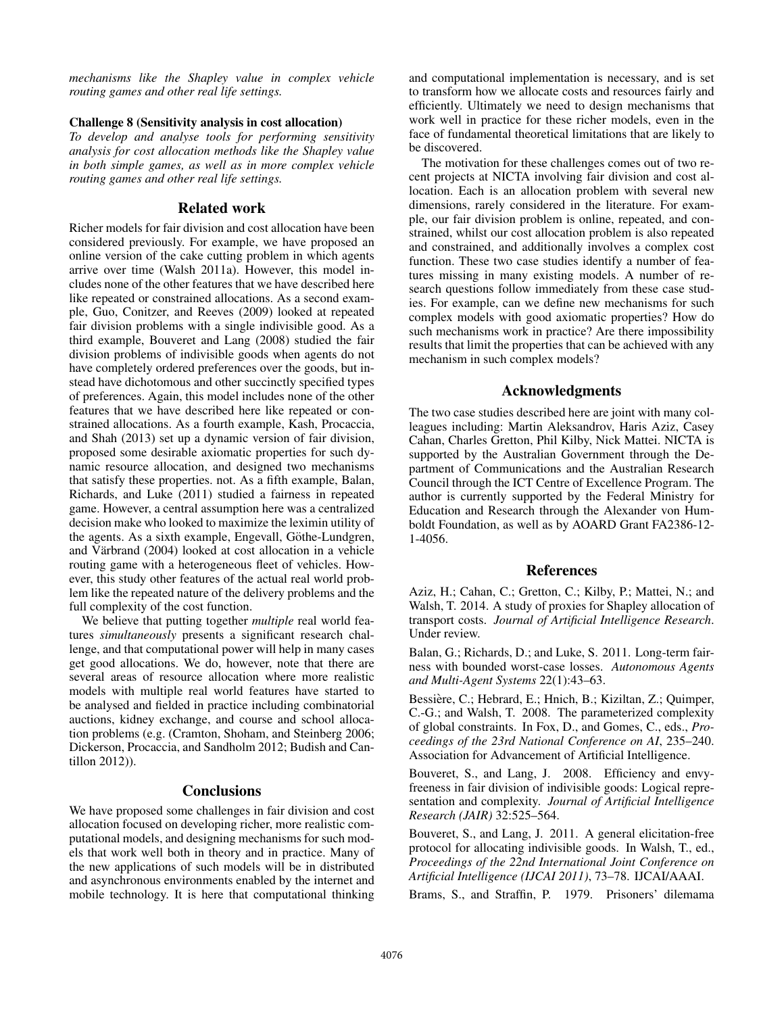*mechanisms like the Shapley value in complex vehicle routing games and other real life settings.*

#### Challenge 8 (Sensitivity analysis in cost allocation)

*To develop and analyse tools for performing sensitivity analysis for cost allocation methods like the Shapley value in both simple games, as well as in more complex vehicle routing games and other real life settings.*

## Related work

Richer models for fair division and cost allocation have been considered previously. For example, we have proposed an online version of the cake cutting problem in which agents arrive over time (Walsh 2011a). However, this model includes none of the other features that we have described here like repeated or constrained allocations. As a second example, Guo, Conitzer, and Reeves (2009) looked at repeated fair division problems with a single indivisible good. As a third example, Bouveret and Lang (2008) studied the fair division problems of indivisible goods when agents do not have completely ordered preferences over the goods, but instead have dichotomous and other succinctly specified types of preferences. Again, this model includes none of the other features that we have described here like repeated or constrained allocations. As a fourth example, Kash, Procaccia, and Shah (2013) set up a dynamic version of fair division, proposed some desirable axiomatic properties for such dynamic resource allocation, and designed two mechanisms that satisfy these properties. not. As a fifth example, Balan, Richards, and Luke (2011) studied a fairness in repeated game. However, a central assumption here was a centralized decision make who looked to maximize the leximin utility of the agents. As a sixth example, Engevall, Göthe-Lundgren, and Värbrand (2004) looked at cost allocation in a vehicle routing game with a heterogeneous fleet of vehicles. However, this study other features of the actual real world problem like the repeated nature of the delivery problems and the full complexity of the cost function.

We believe that putting together *multiple* real world features *simultaneously* presents a significant research challenge, and that computational power will help in many cases get good allocations. We do, however, note that there are several areas of resource allocation where more realistic models with multiple real world features have started to be analysed and fielded in practice including combinatorial auctions, kidney exchange, and course and school allocation problems (e.g. (Cramton, Shoham, and Steinberg 2006; Dickerson, Procaccia, and Sandholm 2012; Budish and Cantillon 2012)).

## **Conclusions**

We have proposed some challenges in fair division and cost allocation focused on developing richer, more realistic computational models, and designing mechanisms for such models that work well both in theory and in practice. Many of the new applications of such models will be in distributed and asynchronous environments enabled by the internet and mobile technology. It is here that computational thinking

and computational implementation is necessary, and is set to transform how we allocate costs and resources fairly and efficiently. Ultimately we need to design mechanisms that work well in practice for these richer models, even in the face of fundamental theoretical limitations that are likely to be discovered.

The motivation for these challenges comes out of two recent projects at NICTA involving fair division and cost allocation. Each is an allocation problem with several new dimensions, rarely considered in the literature. For example, our fair division problem is online, repeated, and constrained, whilst our cost allocation problem is also repeated and constrained, and additionally involves a complex cost function. These two case studies identify a number of features missing in many existing models. A number of research questions follow immediately from these case studies. For example, can we define new mechanisms for such complex models with good axiomatic properties? How do such mechanisms work in practice? Are there impossibility results that limit the properties that can be achieved with any mechanism in such complex models?

## Acknowledgments

The two case studies described here are joint with many colleagues including: Martin Aleksandrov, Haris Aziz, Casey Cahan, Charles Gretton, Phil Kilby, Nick Mattei. NICTA is supported by the Australian Government through the Department of Communications and the Australian Research Council through the ICT Centre of Excellence Program. The author is currently supported by the Federal Ministry for Education and Research through the Alexander von Humboldt Foundation, as well as by AOARD Grant FA2386-12- 1-4056.

## References

Aziz, H.; Cahan, C.; Gretton, C.; Kilby, P.; Mattei, N.; and Walsh, T. 2014. A study of proxies for Shapley allocation of transport costs. *Journal of Artificial Intelligence Research*. Under review.

Balan, G.; Richards, D.; and Luke, S. 2011. Long-term fairness with bounded worst-case losses. *Autonomous Agents and Multi-Agent Systems* 22(1):43–63.

Bessière, C.; Hebrard, E.; Hnich, B.; Kiziltan, Z.; Quimper, C.-G.; and Walsh, T. 2008. The parameterized complexity of global constraints. In Fox, D., and Gomes, C., eds., *Proceedings of the 23rd National Conference on AI*, 235–240. Association for Advancement of Artificial Intelligence.

Bouveret, S., and Lang, J. 2008. Efficiency and envyfreeness in fair division of indivisible goods: Logical representation and complexity. *Journal of Artificial Intelligence Research (JAIR)* 32:525–564.

Bouveret, S., and Lang, J. 2011. A general elicitation-free protocol for allocating indivisible goods. In Walsh, T., ed., *Proceedings of the 22nd International Joint Conference on Artificial Intelligence (IJCAI 2011)*, 73–78. IJCAI/AAAI.

Brams, S., and Straffin, P. 1979. Prisoners' dilemama